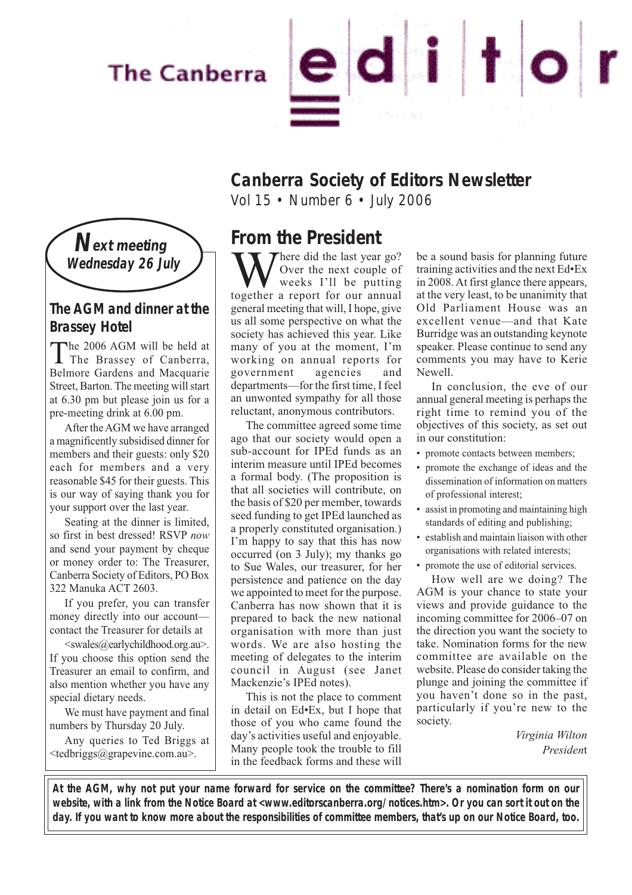# **The Canberra**



## **Canberra Society of Editors Newsletter**

Vol 15 • Number 6 • July 2006



### **The AGM and dinner at the Brassey Hotel**

The 2006 AGM will be held at<br>The Brassey of Canberra, Belmore Gardens and Macquarie Street, Barton. The meeting will start at 6.30 pm but please join us for a pre-meeting drink at 6.00 pm.

After the AGM we have arranged a magnificently subsidised dinner for members and their guests: only \$20 each for members and a very reasonable \$45 for their guests. This is our way of saying thank you for your support over the last year.

Seating at the dinner is limited, so first in best dressed! RSVP *now* and send your payment by cheque or money order to: The Treasurer, Canberra Society of Editors, PO Box 322 Manuka ACT 2603.

If you prefer, you can transfer money directly into our account contact the Treasurer for details at

<swales@earlychildhood.org.au>. If you choose this option send the Treasurer an email to confirm, and also mention whether you have any special dietary needs.

We must have payment and final numbers by Thursday 20 July.

Any queries to Ted Briggs at <tedbriggs@grapevine.com.au>.

**From the President**

There did the last year go? Over the next couple of weeks I'll be putting together a report for our annual general meeting that will, I hope, give us all some perspective on what the society has achieved this year. Like many of you at the moment, I'm working on annual reports for government agencies and departments—for the first time, I feel an unwonted sympathy for all those reluctant, anonymous contributors.

The committee agreed some time ago that our society would open a sub-account for IPEd funds as an interim measure until IPEd becomes a formal body. (The proposition is that all societies will contribute, on the basis of \$20 per member, towards seed funding to get IPEd launched as a properly constituted organisation.) I'm happy to say that this has now occurred (on 3 July); my thanks go to Sue Wales, our treasurer, for her persistence and patience on the day we appointed to meet for the purpose. Canberra has now shown that it is prepared to back the new national organisation with more than just words. We are also hosting the meeting of delegates to the interim council in August (see Janet Mackenzie's IPEd notes).

This is not the place to comment in detail on Ed•Ex, but I hope that those of you who came found the day's activities useful and enjoyable. Many people took the trouble to fill in the feedback forms and these will

be a sound basis for planning future training activities and the next Ed•Ex in 2008. At first glance there appears, at the very least, to be unanimity that Old Parliament House was an excellent venue—and that Kate Burridge was an outstanding keynote speaker. Please continue to send any comments you may have to Kerie Newell.

In conclusion, the eve of our annual general meeting is perhaps the right time to remind you of the objectives of this society, as set out in our constitution:

- promote contacts between members;
- promote the exchange of ideas and the dissemination of information on matters of professional interest;
- assist in promoting and maintaining high standards of editing and publishing;
- establish and maintain liaison with other organisations with related interests;
- promote the use of editorial services.

How well are we doing? The AGM is your chance to state your views and provide guidance to the incoming committee for 2006–07 on the direction you want the society to take. Nomination forms for the new committee are available on the website. Please do consider taking the plunge and joining the committee if you haven't done so in the past, particularly if you're new to the society.

> *Virginia Wilton Presiden*t

**At the AGM, why not put your name forward for service on the committee? There's a nomination form on our website, with a link from the Notice Board at <www.editorscanberra.org/notices.htm>. Or you can sort it out on the day. If you want to know more about the responsibilities of committee members, that's up on our Notice Board, too.**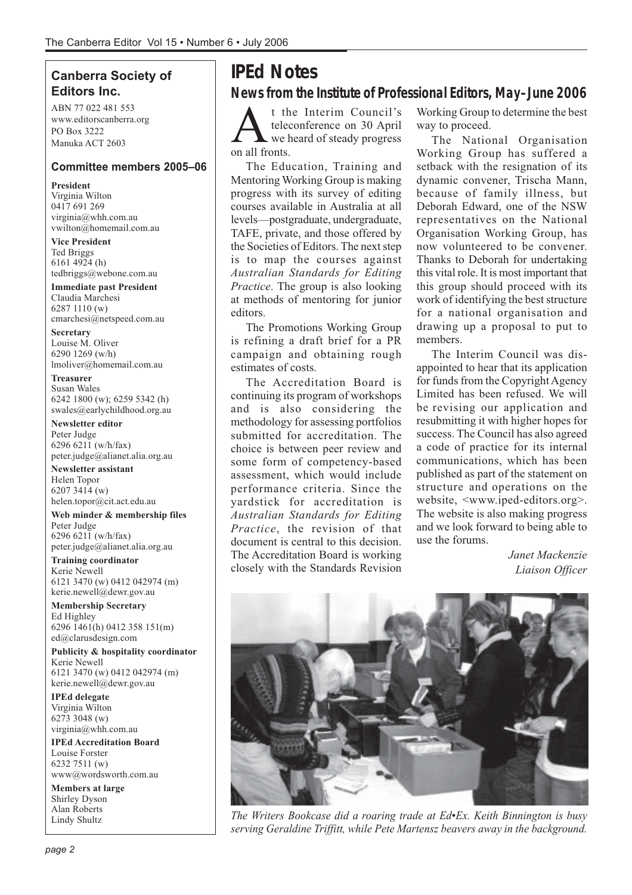### **Canberra Society of Editors Inc.**

ABN 77 022 481 553 www.editorscanberra.org PO Box 3222 Manuka ACT 2603

#### **Committee members 2005–06**

**President** Virginia Wilton 0417 691 269 virginia@whh.com.au vwilton@homemail.com.au

**Vice President** Ted Briggs 6161 4924 (h) tedbriggs@webone.com.au

**Immediate past President** Claudia Marchesi 6287 1110 (w) cmarchesi@netspeed.com.au

**Secretary** Louise M. Oliver 6290 1269 (w/h) lmoliver@homemail.com.au

**Treasurer** Susan Wales 6242 1800 (w); 6259 5342 (h) swales@earlychildhood.org.au

**Newsletter editor** Peter Judge 6296 6211 (w/h/fax) peter.judge@alianet.alia.org.au

**Newsletter assistant** Helen Topor 6207 3414 (w) helen.topor@cit.act.edu.au

**Web minder & membership files** Peter Judge 6296 6211 (w/h/fax) peter.judge@alianet.alia.org.au

**Training coordinator** Kerie Newell 6121 3470 (w) 0412 042974 (m) kerie.newell@dewr.gov.au

**Membership Secretary** Ed Highley 6296 1461(h) 0412 358 151(m) ed@clarusdesign.com

**Publicity & hospitality coordinator** Kerie Newell 6121 3470 (w) 0412 042974 (m) kerie.newell@dewr.gov.au

**IPEd delegate** Virginia Wilton 6273 3048 (w) virginia@whh.com.au

**IPEd Accreditation Board** Louise Forster 6232 7511 (w) www@wordsworth.com.au

**Members at large** Shirley Dyson Alan Roberts Lindy Shultz

# **IPEd Notes**

**News from the Institute of Professional Editors, May–June 2006**

t the Interim Council's<br>teleconference on 30 April<br>on all fronts teleconference on 30 April we heard of steady progress on all fronts.

The Education, Training and Mentoring Working Group is making progress with its survey of editing courses available in Australia at all levels—postgraduate, undergraduate, TAFE, private, and those offered by the Societies of Editors. The next step is to map the courses against *Australian Standards for Editing Practice*. The group is also looking at methods of mentoring for junior editors.

The Promotions Working Group is refining a draft brief for a PR campaign and obtaining rough estimates of costs.

The Accreditation Board is continuing its program of workshops and is also considering the methodology for assessing portfolios submitted for accreditation. The choice is between peer review and some form of competency-based assessment, which would include performance criteria. Since the yardstick for accreditation is *Australian Standards for Editing Practice*, the revision of that document is central to this decision. The Accreditation Board is working closely with the Standards Revision Working Group to determine the best way to proceed.

The National Organisation Working Group has suffered a setback with the resignation of its dynamic convener, Trischa Mann, because of family illness, but Deborah Edward, one of the NSW representatives on the National Organisation Working Group, has now volunteered to be convener. Thanks to Deborah for undertaking this vital role. It is most important that this group should proceed with its work of identifying the best structure for a national organisation and drawing up a proposal to put to members.

The Interim Council was disappointed to hear that its application for funds from the Copyright Agency Limited has been refused. We will be revising our application and resubmitting it with higher hopes for success. The Council has also agreed a code of practice for its internal communications, which has been published as part of the statement on structure and operations on the website, <www.iped-editors.org>. The website is also making progress and we look forward to being able to use the forums.

> *Janet Mackenzie Liaison Officer*



*The Writers Bookcase did a roaring trade at Ed•Ex. Keith Binnington is busy serving Geraldine Triffitt, while Pete Martensz beavers away in the background.*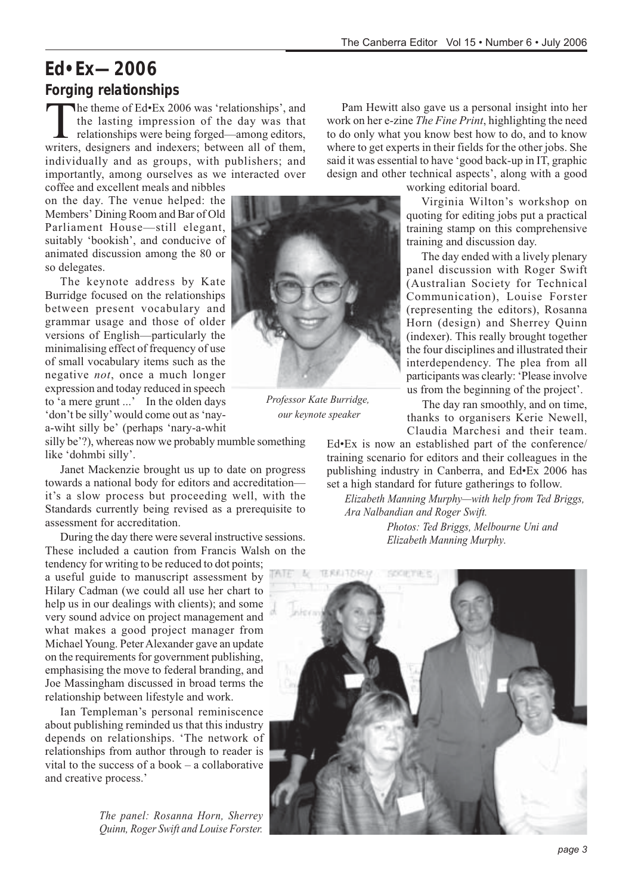## **Ed•Ex—2006 Forging relationships**

The theme of Ed•Ex 2006 was 'relationships', and<br>the lasting impression of the day was that<br>relationships were being forged—among editors,<br>writers designers and indexers: between all of them the lasting impression of the day was that relationships were being forged—among editors, writers, designers and indexers; between all of them, individually and as groups, with publishers; and importantly, among ourselves as we interacted over

coffee and excellent meals and nibbles on the day. The venue helped: the Members' Dining Room and Bar of Old Parliament House—still elegant, suitably 'bookish', and conducive of animated discussion among the 80 or so delegates.

The keynote address by Kate Burridge focused on the relationships between present vocabulary and grammar usage and those of older versions of English—particularly the minimalising effect of frequency of use of small vocabulary items such as the negative *not*, once a much longer expression and today reduced in speech to 'a mere grunt ...' In the olden days 'don't be silly' would come out as 'naya-wiht silly be' (perhaps 'nary-a-whit

silly be'?), whereas now we probably mumble something like 'dohmbi silly'.

Janet Mackenzie brought us up to date on progress towards a national body for editors and accreditation it's a slow process but proceeding well, with the Standards currently being revised as a prerequisite to assessment for accreditation.

During the day there were several instructive sessions. These included a caution from Francis Walsh on the

tendency for writing to be reduced to dot points; a useful guide to manuscript assessment by Hilary Cadman (we could all use her chart to help us in our dealings with clients); and some very sound advice on project management and what makes a good project manager from Michael Young. Peter Alexander gave an update on the requirements for government publishing, emphasising the move to federal branding, and Joe Massingham discussed in broad terms the relationship between lifestyle and work.

Ian Templeman's personal reminiscence about publishing reminded us that this industry depends on relationships. 'The network of relationships from author through to reader is vital to the success of a book  $-\overline{a}$  collaborative and creative process.'

> *The panel: Rosanna Horn, Sherrey Quinn, Roger Swift and Louise Forster.*

Pam Hewitt also gave us a personal insight into her work on her e-zine *The Fine Print*, highlighting the need to do only what you know best how to do, and to know where to get experts in their fields for the other jobs. She said it was essential to have 'good back-up in IT, graphic design and other technical aspects', along with a good



*Professor Kate Burridge, our keynote speaker*

working editorial board.

Virginia Wilton's workshop on quoting for editing jobs put a practical training stamp on this comprehensive training and discussion day.

The day ended with a lively plenary panel discussion with Roger Swift (Australian Society for Technical Communication), Louise Forster (representing the editors), Rosanna Horn (design) and Sherrey Quinn (indexer). This really brought together the four disciplines and illustrated their interdependency. The plea from all participants was clearly: 'Please involve us from the beginning of the project'.

The day ran smoothly, and on time, thanks to organisers Kerie Newell, Claudia Marchesi and their team.

Ed•Ex is now an established part of the conference/ training scenario for editors and their colleagues in the publishing industry in Canberra, and Ed•Ex 2006 has set a high standard for future gatherings to follow.

*Elizabeth Manning Murphy—with help from Ted Briggs, Ara Nalbandian and Roger Swift.*

*Photos: Ted Briggs, Melbourne Uni and Elizabeth Manning Murphy.*

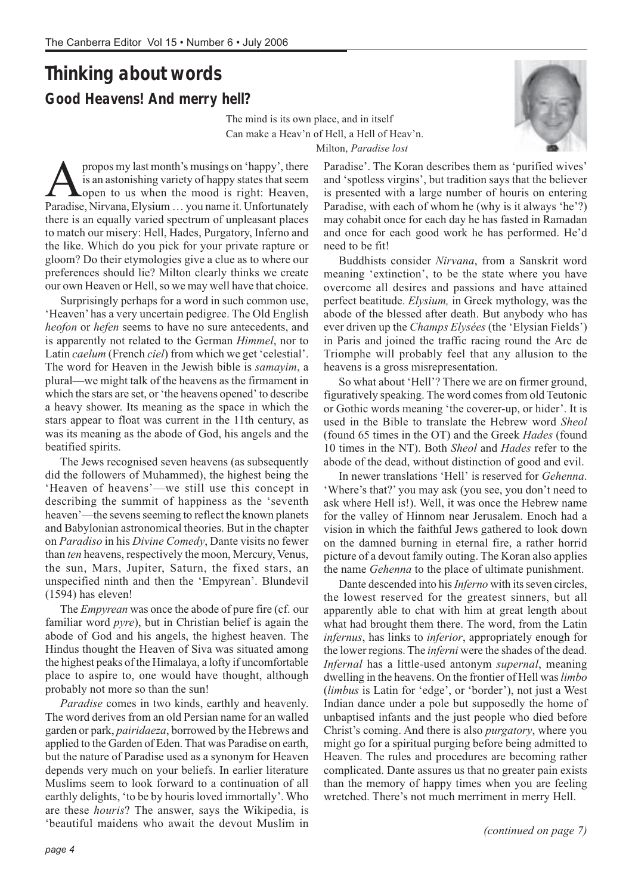# **Thinking about words Good Heavens! And merry hell?**

The mind is its own place, and in itself Can make a Heav'n of Hell, a Hell of Heav'n. Milton, *Paradise lost*



**A** propos my last month's musings on 'happy', there is an astonishing variety of happy states that seem open to us when the mood is right: Heaven, Paradise Nirvana Elysium vou name it Unfortunately is an astonishing variety of happy states that seem **Lopen** to us when the mood is right: Heaven, Paradise, Nirvana, Elysium … you name it. Unfortunately there is an equally varied spectrum of unpleasant places to match our misery: Hell, Hades, Purgatory, Inferno and the like. Which do you pick for your private rapture or gloom? Do their etymologies give a clue as to where our preferences should lie? Milton clearly thinks we create our own Heaven or Hell, so we may well have that choice.

Surprisingly perhaps for a word in such common use, 'Heaven' has a very uncertain pedigree. The Old English *heofon* or *hefen* seems to have no sure antecedents, and is apparently not related to the German *Himmel*, nor to Latin *caelum* (French *ciel*) from which we get 'celestial'. The word for Heaven in the Jewish bible is *samayim*, a plural—we might talk of the heavens as the firmament in which the stars are set, or 'the heavens opened' to describe a heavy shower. Its meaning as the space in which the stars appear to float was current in the 11th century, as was its meaning as the abode of God, his angels and the beatified spirits.

The Jews recognised seven heavens (as subsequently did the followers of Muhammed), the highest being the 'Heaven of heavens'—we still use this concept in describing the summit of happiness as the 'seventh heaven'—the sevens seeming to reflect the known planets and Babylonian astronomical theories. But in the chapter on *Paradiso* in his *Divine Comedy*, Dante visits no fewer than *ten* heavens, respectively the moon, Mercury, Venus, the sun, Mars, Jupiter, Saturn, the fixed stars, an unspecified ninth and then the 'Empyrean'. Blundevil (1594) has eleven!

The *Empyrean* was once the abode of pure fire (cf. our familiar word *pyre*), but in Christian belief is again the abode of God and his angels, the highest heaven. The Hindus thought the Heaven of Siva was situated among the highest peaks of the Himalaya, a lofty if uncomfortable place to aspire to, one would have thought, although probably not more so than the sun!

*Paradise* comes in two kinds, earthly and heavenly. The word derives from an old Persian name for an walled garden or park, *pairidaeza*, borrowed by the Hebrews and applied to the Garden of Eden. That was Paradise on earth, but the nature of Paradise used as a synonym for Heaven depends very much on your beliefs. In earlier literature Muslims seem to look forward to a continuation of all earthly delights, 'to be by houris loved immortally'. Who are these *houris*? The answer, says the Wikipedia, is 'beautiful maidens who await the devout Muslim in Paradise'. The Koran describes them as 'purified wives' and 'spotless virgins', but tradition says that the believer is presented with a large number of houris on entering Paradise, with each of whom he (why is it always 'he'?) may cohabit once for each day he has fasted in Ramadan and once for each good work he has performed. He'd need to be fit!

Buddhists consider *Nirvana*, from a Sanskrit word meaning 'extinction', to be the state where you have overcome all desires and passions and have attained perfect beatitude. *Elysium,* in Greek mythology, was the abode of the blessed after death. But anybody who has ever driven up the *Champs Elysées* (the 'Elysian Fields') in Paris and joined the traffic racing round the Arc de Triomphe will probably feel that any allusion to the heavens is a gross misrepresentation.

So what about 'Hell'? There we are on firmer ground, figuratively speaking. The word comes from old Teutonic or Gothic words meaning 'the coverer-up, or hider'. It is used in the Bible to translate the Hebrew word *Sheol* (found 65 times in the OT) and the Greek *Hades* (found 10 times in the NT). Both *Sheol* and *Hades* refer to the abode of the dead, without distinction of good and evil.

In newer translations 'Hell' is reserved for *Gehenna*. 'Where's that?' you may ask (you see, you don't need to ask where Hell is!). Well, it was once the Hebrew name for the valley of Hinnom near Jerusalem. Enoch had a vision in which the faithful Jews gathered to look down on the damned burning in eternal fire, a rather horrid picture of a devout family outing. The Koran also applies the name *Gehenna* to the place of ultimate punishment.

Dante descended into his *Inferno* with its seven circles, the lowest reserved for the greatest sinners, but all apparently able to chat with him at great length about what had brought them there. The word, from the Latin *infernus*, has links to *inferior*, appropriately enough for the lower regions. The *inferni* were the shades of the dead. *Infernal* has a little-used antonym *supernal*, meaning dwelling in the heavens. On the frontier of Hell was *limbo* (*limbus* is Latin for 'edge', or 'border'), not just a West Indian dance under a pole but supposedly the home of unbaptised infants and the just people who died before Christ's coming. And there is also *purgatory*, where you might go for a spiritual purging before being admitted to Heaven. The rules and procedures are becoming rather complicated. Dante assures us that no greater pain exists than the memory of happy times when you are feeling wretched. There's not much merriment in merry Hell.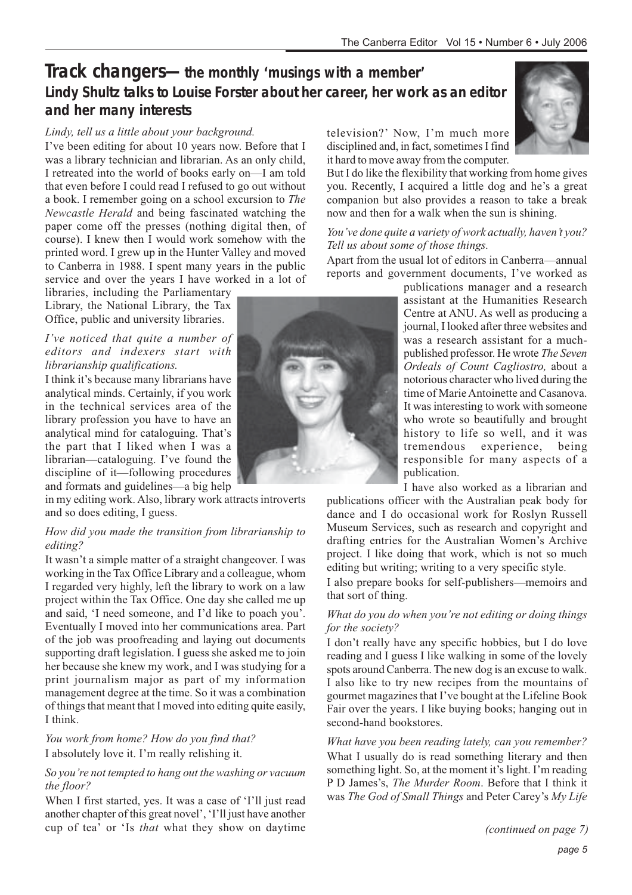## **Track changers—the monthly 'musings with a member' Lindy Shultz talks to Louise Forster about her career, her work as an editor and her many interests**

#### *Lindy, tell us a little about your background.*

I've been editing for about 10 years now. Before that I was a library technician and librarian. As an only child, I retreated into the world of books early on—I am told that even before I could read I refused to go out without a book. I remember going on a school excursion to *The Newcastle Herald* and being fascinated watching the paper come off the presses (nothing digital then, of course). I knew then I would work somehow with the printed word. I grew up in the Hunter Valley and moved to Canberra in 1988. I spent many years in the public service and over the years I have worked in a lot of

libraries, including the Parliamentary Library, the National Library, the Tax Office, public and university libraries.

#### *I've noticed that quite a number of editors and indexers start with librarianship qualifications.*

I think it's because many librarians have analytical minds. Certainly, if you work in the technical services area of the library profession you have to have an analytical mind for cataloguing. That's the part that I liked when I was a librarian—cataloguing. I've found the discipline of it—following procedures and formats and guidelines—a big help

in my editing work. Also, library work attracts introverts and so does editing, I guess.

#### *How did you made the transition from librarianship to editing?*

It wasn't a simple matter of a straight changeover. I was working in the Tax Office Library and a colleague, whom I regarded very highly, left the library to work on a law project within the Tax Office. One day she called me up and said, 'I need someone, and I'd like to poach you'. Eventually I moved into her communications area. Part of the job was proofreading and laying out documents supporting draft legislation. I guess she asked me to join her because she knew my work, and I was studying for a print journalism major as part of my information management degree at the time. So it was a combination of things that meant that I moved into editing quite easily, I think.

*You work from home? How do you find that?* I absolutely love it. I'm really relishing it.

*So you're not tempted to hang out the washing or vacuum the floor?*

When I first started, yes. It was a case of 'I'll just read another chapter of this great novel', 'I'll just have another cup of tea' or 'Is *that* what they show on daytime



television?' Now, I'm much more disciplined and, in fact, sometimes I find it hard to move away from the computer.

But I do like the flexibility that working from home gives you. Recently, I acquired a little dog and he's a great companion but also provides a reason to take a break now and then for a walk when the sun is shining.

#### *You've done quite a variety of work actually, haven't you? Tell us about some of those things.*

Apart from the usual lot of editors in Canberra—annual reports and government documents, I've worked as

> publications manager and a research assistant at the Humanities Research Centre at ANU. As well as producing a journal, I looked after three websites and was a research assistant for a muchpublished professor. He wrote *The Seven Ordeals of Count Cagliostro,* about a notorious character who lived during the time of Marie Antoinette and Casanova. It was interesting to work with someone who wrote so beautifully and brought history to life so well, and it was tremendous experience, being responsible for many aspects of a publication.

I have also worked as a librarian and

publications officer with the Australian peak body for dance and I do occasional work for Roslyn Russell Museum Services, such as research and copyright and drafting entries for the Australian Women's Archive project. I like doing that work, which is not so much editing but writing; writing to a very specific style.

I also prepare books for self-publishers—memoirs and that sort of thing.

#### *What do you do when you're not editing or doing things for the society?*

I don't really have any specific hobbies, but I do love reading and I guess I like walking in some of the lovely spots around Canberra. The new dog is an excuse to walk. I also like to try new recipes from the mountains of gourmet magazines that I've bought at the Lifeline Book Fair over the years. I like buying books; hanging out in second-hand bookstores.

*What have you been reading lately, can you remember?* What I usually do is read something literary and then something light. So, at the moment it's light. I'm reading P D James's, *The Murder Room*. Before that I think it was *The God of Small Things* and Peter Carey's *My Life*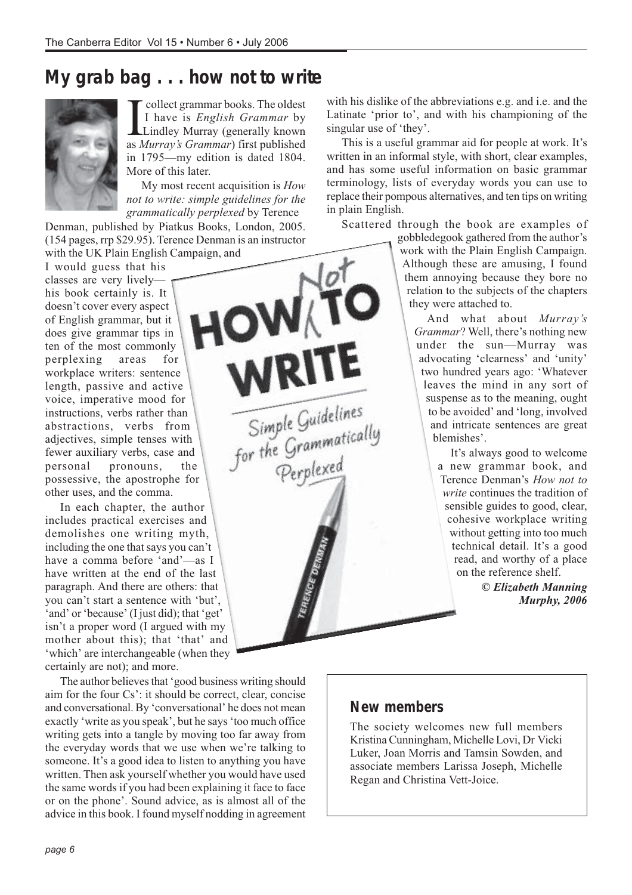# **My grab bag . . . how not to write**



**I** collect grammar books. The oldest<br>I have is *English Grammar* by<br>Lindley Murray (generally known<br>as *Murray's Grammar*) first published collect grammar books. The oldest I have is *English Grammar* by Lindley Murray (generally known in 1795—my edition is dated 1804. More of this later.

My most recent acquisition is *How not to write: simple guidelines for the grammatically perplexed* by Terence

WRITE

Simple Guidelines<br>for the Grammatically<br>Perplexed

Denman, published by Piatkus Books, London, 2005. (154 pages, rrp \$29.95). Terence Denman is an instructor with the UK Plain English Campaign, and

I would guess that his classes are very lively— HOWAT his book certainly is. It doesn't cover every aspect of English grammar, but it does give grammar tips in ten of the most commonly perplexing areas for workplace writers: sentence length, passive and active voice, imperative mood for instructions, verbs rather than abstractions, verbs from adjectives, simple tenses with fewer auxiliary verbs, case and personal pronouns, the possessive, the apostrophe for other uses, and the comma.

In each chapter, the author includes practical exercises and demolishes one writing myth, including the one that says you can't have a comma before 'and'—as I have written at the end of the last paragraph. And there are others: that you can't start a sentence with 'but', 'and' or 'because' (I just did); that 'get' isn't a proper word (I argued with my mother about this); that 'that' and 'which' are interchangeable (when they certainly are not); and more.

The author believes that 'good business writing should aim for the four Cs': it should be correct, clear, concise and conversational. By 'conversational' he does not mean exactly 'write as you speak', but he says 'too much office writing gets into a tangle by moving too far away from the everyday words that we use when we're talking to someone. It's a good idea to listen to anything you have written. Then ask yourself whether you would have used the same words if you had been explaining it face to face or on the phone'. Sound advice, as is almost all of the advice in this book. I found myself nodding in agreement with his dislike of the abbreviations e.g. and i.e. and the Latinate 'prior to', and with his championing of the singular use of 'they'.

This is a useful grammar aid for people at work. It's written in an informal style, with short, clear examples, and has some useful information on basic grammar terminology, lists of everyday words you can use to replace their pompous alternatives, and ten tips on writing in plain English.

Scattered through the book are examples of

gobbledegook gathered from the author's work with the Plain English Campaign. Although these are amusing, I found them annoying because they bore no relation to the subjects of the chapters they were attached to.

And what about *Murray's Grammar*? Well, there's nothing new under the sun—Murray was advocating 'clearness' and 'unity' two hundred years ago: 'Whatever leaves the mind in any sort of suspense as to the meaning, ought to be avoided' and 'long, involved and intricate sentences are great blemishes'.

It's always good to welcome a new grammar book, and Terence Denman's *How not to write* continues the tradition of sensible guides to good, clear, cohesive workplace writing without getting into too much technical detail. It's a good read, and worthy of a place on the reference shelf.

> *© Elizabeth Manning Murphy, 2006*

### **New members**

The society welcomes new full members Kristina Cunningham, Michelle Lovi, Dr Vicki Luker, Joan Morris and Tamsin Sowden, and associate members Larissa Joseph, Michelle Regan and Christina Vett-Joice.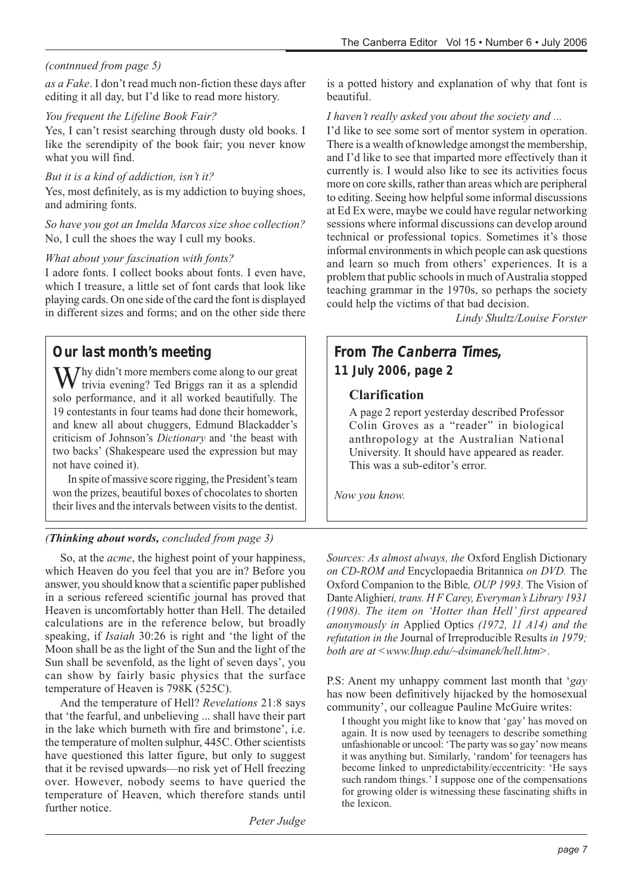### *(contnnued from page 5)*

*as a Fake*. I don't read much non-fiction these days after editing it all day, but I'd like to read more history.

#### *You frequent the Lifeline Book Fair?*

Yes, I can't resist searching through dusty old books. I like the serendipity of the book fair; you never know what you will find.

#### *But it is a kind of addiction, isn't it?*

Yes, most definitely, as is my addiction to buying shoes, and admiring fonts.

#### *So have you got an Imelda Marcos size shoe collection?* No, I cull the shoes the way I cull my books.

#### *What about your fascination with fonts?*

I adore fonts. I collect books about fonts. I even have, which I treasure, a little set of font cards that look like playing cards. On one side of the card the font is displayed in different sizes and forms; and on the other side there

### **Our last month's meeting**

 $\mathbf{W}$ hy didn't more members come along to our great trivia evening? Ted Briggs ran it as a splendid solo performance, and it all worked beautifully. The 19 contestants in four teams had done their homework, and knew all about chuggers, Edmund Blackadder's criticism of Johnson's *Dictionary* and 'the beast with two backs' (Shakespeare used the expression but may not have coined it).

In spite of massive score rigging, the President's team won the prizes, beautiful boxes of chocolates to shorten their lives and the intervals between visits to the dentist.

#### *(Thinking about words, concluded from page 3)*

So, at the *acme*, the highest point of your happiness, which Heaven do you feel that you are in? Before you answer, you should know that a scientific paper published in a serious refereed scientific journal has proved that Heaven is uncomfortably hotter than Hell. The detailed calculations are in the reference below, but broadly speaking, if *Isaiah* 30:26 is right and 'the light of the Moon shall be as the light of the Sun and the light of the Sun shall be sevenfold, as the light of seven days', you can show by fairly basic physics that the surface temperature of Heaven is 798K (525C).

And the temperature of Hell? *Revelations* 21:8 says that 'the fearful, and unbelieving ... shall have their part in the lake which burneth with fire and brimstone', i.e. the temperature of molten sulphur, 445C. Other scientists have questioned this latter figure, but only to suggest that it be revised upwards—no risk yet of Hell freezing over. However, nobody seems to have queried the temperature of Heaven, which therefore stands until further notice.

*Peter Judge*

is a potted history and explanation of why that font is beautiful.

#### *I haven't really asked you about the society and ...*

I'd like to see some sort of mentor system in operation. There is a wealth of knowledge amongst the membership, and I'd like to see that imparted more effectively than it currently is. I would also like to see its activities focus more on core skills, rather than areas which are peripheral to editing. Seeing how helpful some informal discussions at Ed Ex were, maybe we could have regular networking sessions where informal discussions can develop around technical or professional topics. Sometimes it's those informal environments in which people can ask questions and learn so much from others' experiences. It is a problem that public schools in much of Australia stopped teaching grammar in the 1970s, so perhaps the society could help the victims of that bad decision.

*Lindy Shultz/Louise Forster*

### **From The Canberra Times, 11 July 2006, page 2**

#### **Clarification**

A page 2 report yesterday described Professor Colin Groves as a "reader" in biological anthropology at the Australian National University. It should have appeared as reader. This was a sub-editor's error.

*Now you know.*

*Sources: As almost always, the* Oxford English Dictionary *on CD-ROM and* Encyclopaedia Britannica *on DVD.* The Oxford Companion to the Bible*, OUP 1993.* The Vision of Dante Alighier*i, trans. H F Carey, Everyman's Library 1931 (1908). The item on 'Hotter than Hell' first appeared anonymously in* Applied Optics *(1972, 11 A14) and the refutation in the* Journal of Irreproducible Results *in 1979; both are at <www.lhup.edu/~dsimanek/hell.htm>.*

P.S: Anent my unhappy comment last month that '*gay* has now been definitively hijacked by the homosexual community', our colleague Pauline McGuire writes:

I thought you might like to know that 'gay' has moved on again. It is now used by teenagers to describe something unfashionable or uncool: 'The party was so gay' now means it was anything but. Similarly, 'random' for teenagers has become linked to unpredictability/eccentricity: 'He says such random things.' I suppose one of the compensations for growing older is witnessing these fascinating shifts in the lexicon.